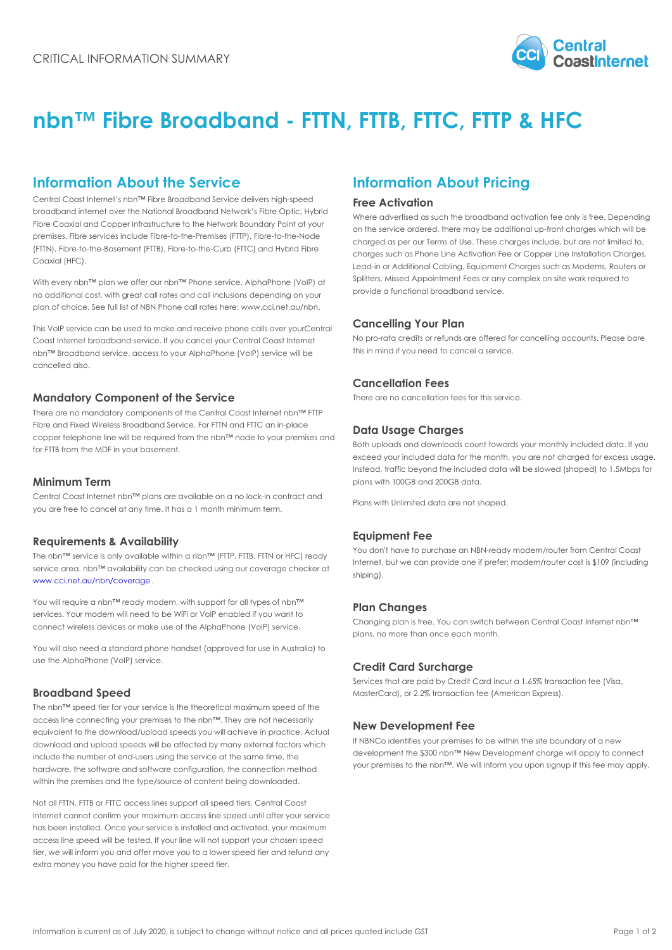# nbn!" Fibre Broadband - FTTN, FTTB, FTT

## Information About the Service Information About Pricing

Central Coast Internet s nbn!" Fibre Broadband Service deli 약 Fie e<sup>n i 9</sup> Anc + Fied tion

broadband internet over the National Broadband Network s Fibre Optic, Hybrid<br>Where advertised as such the broadband activation fee on Fibre Coaxial and Copper Infrastructure to the Network Boundary Point at your premises. Fibre services include Fibre-to-the-Premises (FTTP), Fibre-to-the-Node (FTTN), Fibre-to-the-Basement (FTTB), Fibre-to-the-Curb (FTTC) and Hybrid Fibre Coaxial (HFC). on the service ordered, there may be additional up-front c charged as per our Terms of Use. These charges include, `charges such'ãs Phone Line Activation Fee or Copper Line Lead-in or Additional Cabling, Equipment Charges such as

With every nbn!" plan we offer our nbn!" Phone service, AlphaPhitSRIS (WoSpSegtAppointment Fees or any complex on site no additional cost, with great call rates and call inclusion of  $G$ e  $\beta$ e  $\beta$   $\beta$   $\gamma$   $\beta$   $\gamma$   $\beta$   $\gamma$   $\beta$   $\beta$   $\beta$   $\gamma$   $\beta$   $\beta$   $\beta$   $\gamma$   $\beta$   $\gamma$   $\beta$   $\gamma$   $\beta$   $\gamma$   $\beta$   $\gamma$   $\beta$   $\gamma$   $\beta$   $\gamma$   $\beta$   $\gamma$   $\$ 

plan of choice. See full list of NBN Phone call rates here: www.cci.net.au/nbn.

This VoIP service can be used to make and receiv@ephoonle Cann Celling Your Plan Coast Internet broadband service. If you cancel your Central @E69 faifit GFR gits or refunds are offered for cancelling a nbn!" Broadband service, access to your AlphaPhone (VoIP)<sup>t h</sup>servic@inflihe en need to cancel a service. cancelled also.

#### Mandatory Component of the Service

There are no mandatory components of the Central Coast Internet nbn!" FTTP Fibre and Fixed Wireless Broadband Service. For FTTN and FTTC an in-place copper telephone line will be required from the nbn!" node to your premises and for FTTB from the MDF in your basement.

#### Cancellation Fees

There are no cancellation fees for this service.

#### Data Usage Charges

Both uploads and downloads count towards your monthly in exceed your included data for the month, you are not char Instead, traffic beyond the included data will be slowed (shaped) plans with 100GB and 200GB data.

#### Minimum Term

Central Coast Internet nbn!" plans are available on a no lock-in contract and you are free to cancel at any time. It has a 1 month minimum term. Plans with Unlimited data are not shaped.

### Requirements & Availability

The nbn!" service is only available within a nbn!" (FTTP, FTTB, FTTN or HFC) ready service area. nbn!" availability can be checked using our coverage checker at [www.cci.net.au/nbn/c](https://www.cci.net.au/nbn/coverage)overage You <u>don'</u>t have to purchase an NBN-ready modem/router fr. Internet, but we can provide one if prefer: modem/router c shiping).

You will require a nbn!" ready modem, with support for all t<sub>h</sub>pes of nbn!" services. Your modem will need to be WiFi or VoIP enabled if you want to connect wireless devices or make use of the AlphaPhone (VoIP) setvice. 'Phan''C'h'anges Changing plan is free. You can switch between Central Co plans, no more than once each month.

You will also need a standard phone handset (approved for use in Australia) to use the AlphaPhone (VoIP) service.

#### Credit Card Surcharge

Services that are paid by Credit Card incur a 1.65% trans MasterCard), or 2.2% transaction fee (American Express).

#### Broadband Speed

The nbn!" speed tier for your service is the theoretical maximum speed of the

access line connecting your premises to the nbn!". They are not necessarily access the connecting your premises to the none in they are Niew Development Fee

download and upload speeds will be affected by many external  $\{A^B P\}$   $\{C P_0\}$   $\{Q^B P_1\}$  and  $\{P_1\}$  and  $\{P_2\}$  are within the site boundary of a new step of a new step of an integration of  $\{A^B P\}$   $\{C P_1\}$ include the number of end-users using the service at the s<sup>qevel</sup>{inme.ept the \$300 nbn!" New Development charge will a hardware, the software and software configuration, the connect for misths to the nbn!". We will inform you upon signup within the premises and the type/source of content being downloaded.

Not all FTTN, FTTB or FTTC access lines support all speed tiers. Central Coast Internet cannot confirm your maximum access line speed until after your service has been installed. Once your service is installed and activated, your maximum access line speed will be tested. If your line will not support your chosen speed tier, we will inform you and offer move you to a lower speed tier and refund any extra money you have paid for the higher speed tier.

Equipment Fee